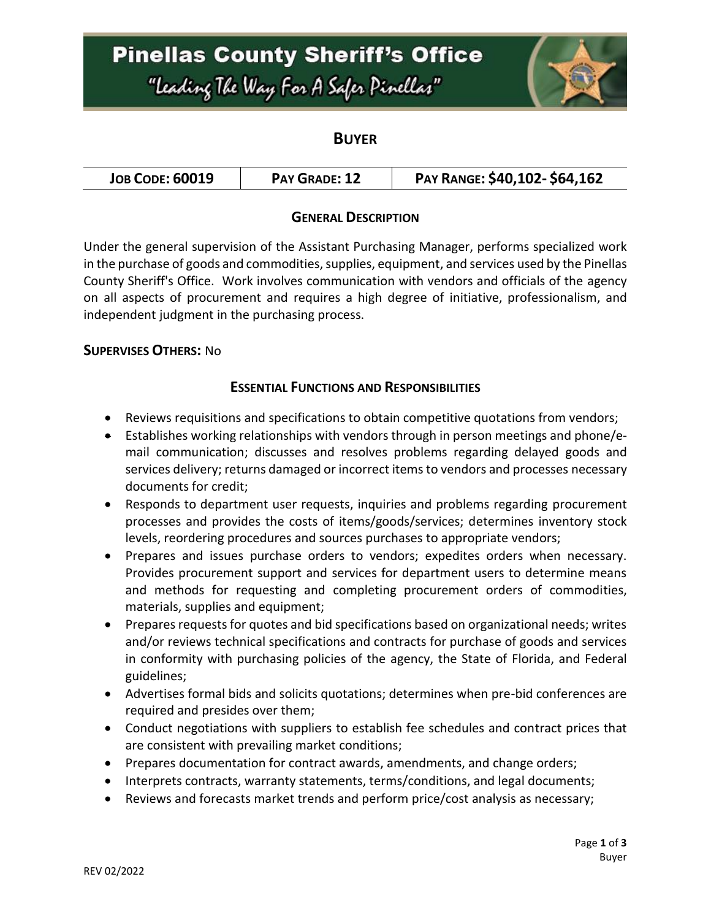# **Pinellas County Sheriff's Office**

"Leading The Way For A Safer Pinellar"



## **BUYER**

### **GENERAL DESCRIPTION**

Under the general supervision of the Assistant Purchasing Manager, performs specialized work in the purchase of goods and commodities, supplies, equipment, and services used by the Pinellas County Sheriff's Office. Work involves communication with vendors and officials of the agency on all aspects of procurement and requires a high degree of initiative, professionalism, and independent judgment in the purchasing process.

#### **SUPERVISES OTHERS:** No

#### **ESSENTIAL FUNCTIONS AND RESPONSIBILITIES**

- Reviews requisitions and specifications to obtain competitive quotations from vendors;
- Establishes working relationships with vendors through in person meetings and phone/email communication; discusses and resolves problems regarding delayed goods and services delivery; returns damaged or incorrect items to vendors and processes necessary documents for credit;
- Responds to department user requests, inquiries and problems regarding procurement processes and provides the costs of items/goods/services; determines inventory stock levels, reordering procedures and sources purchases to appropriate vendors;
- Prepares and issues purchase orders to vendors; expedites orders when necessary. Provides procurement support and services for department users to determine means and methods for requesting and completing procurement orders of commodities, materials, supplies and equipment;
- Prepares requests for quotes and bid specifications based on organizational needs; writes and/or reviews technical specifications and contracts for purchase of goods and services in conformity with purchasing policies of the agency, the State of Florida, and Federal guidelines;
- Advertises formal bids and solicits quotations; determines when pre-bid conferences are required and presides over them;
- Conduct negotiations with suppliers to establish fee schedules and contract prices that are consistent with prevailing market conditions;
- Prepares documentation for contract awards, amendments, and change orders;
- Interprets contracts, warranty statements, terms/conditions, and legal documents;
- Reviews and forecasts market trends and perform price/cost analysis as necessary;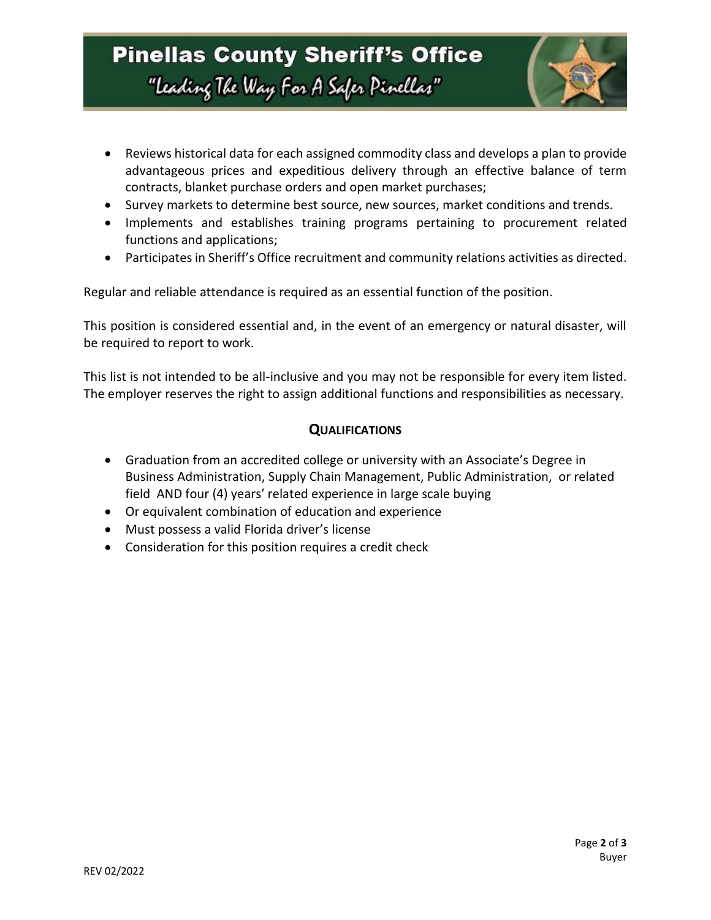

- Reviews historical data for each assigned commodity class and develops a plan to provide advantageous prices and expeditious delivery through an effective balance of term contracts, blanket purchase orders and open market purchases;
- Survey markets to determine best source, new sources, market conditions and trends.
- Implements and establishes training programs pertaining to procurement related functions and applications;
- Participates in Sheriff's Office recruitment and community relations activities as directed.

Regular and reliable attendance is required as an essential function of the position.

This position is considered essential and, in the event of an emergency or natural disaster, will be required to report to work.

This list is not intended to be all-inclusive and you may not be responsible for every item listed. The employer reserves the right to assign additional functions and responsibilities as necessary.

#### **QUALIFICATIONS**

- Graduation from an accredited college or university with an Associate's Degree in Business Administration, Supply Chain Management, Public Administration, or related field AND four (4) years' related experience in large scale buying
- Or equivalent combination of education and experience
- Must possess a valid Florida driver's license
- Consideration for this position requires a credit check